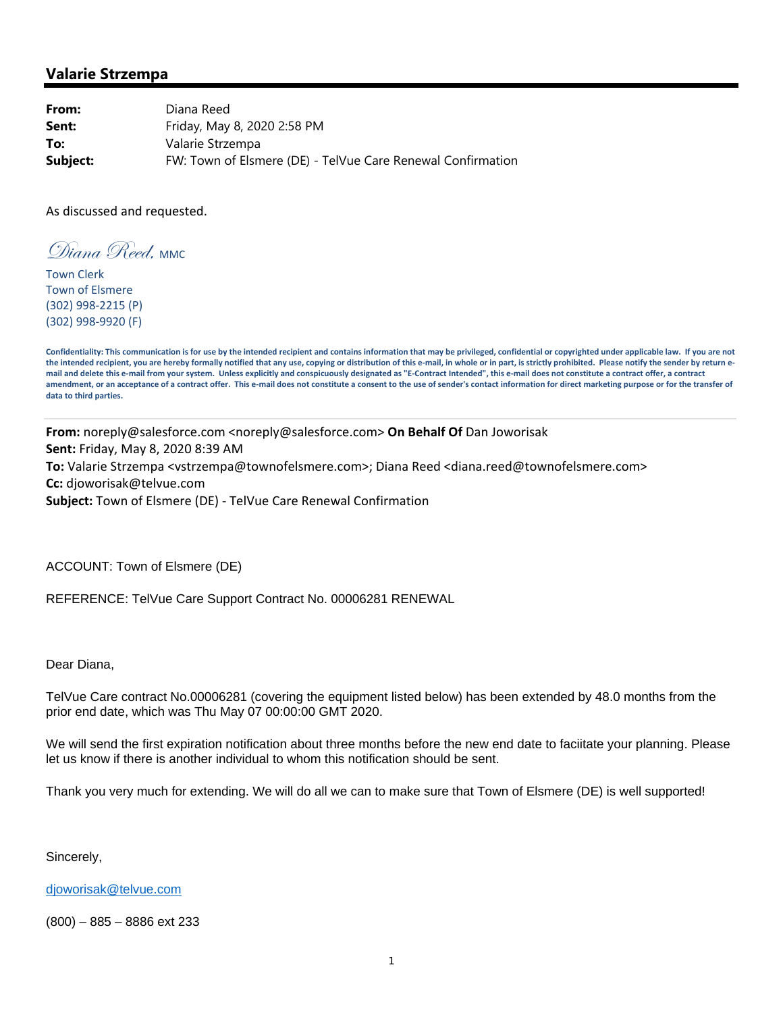## **Valarie Strzempa**

**From:** Diana Reed **Sent:** Friday, May 8, 2020 2:58 PM **To:** Valarie Strzempa **Subject:** FW: Town of Elsmere (DE) - TelVue Care Renewal Confirmation

As discussed and requested.

Wigna Reed, MMC

Town Clerk Town of Elsmere (302) 998‐2215 (P) (302) 998‐9920 (F)

Confidentiality: This communication is for use by the intended recipient and contains information that may be privileged, confidential or copyrighted under applicable law. If you are not the intended recipient, you are hereby formally notified that any use, copying or distribution of this e-mail, in whole or in part, is strictly prohibited. Please notify the sender by return email and delete this e-mail from your system. Unless explicitly and conspicuously designated as "E-Contract Intended", this e-mail does not constitute a contract offer, a contract amendment, or an acceptance of a contract offer. This e-mail does not constitute a consent to the use of sender's contact information for direct marketing purpose or for the transfer of **data to third parties.**

**From:** noreply@salesforce.com <noreply@salesforce.com> **On Behalf Of** Dan Joworisak **Sent:** Friday, May 8, 2020 8:39 AM **To:** Valarie Strzempa <vstrzempa@townofelsmere.com>; Diana Reed <diana.reed@townofelsmere.com> **Cc:** djoworisak@telvue.com **Subject:** Town of Elsmere (DE) ‐ TelVue Care Renewal Confirmation

ACCOUNT: Town of Elsmere (DE)

REFERENCE: TelVue Care Support Contract No. 00006281 RENEWAL

Dear Diana,

TelVue Care contract No.00006281 (covering the equipment listed below) has been extended by 48.0 months from the prior end date, which was Thu May 07 00:00:00 GMT 2020.

We will send the first expiration notification about three months before the new end date to faciitate your planning. Please let us know if there is another individual to whom this notification should be sent.

Thank you very much for extending. We will do all we can to make sure that Town of Elsmere (DE) is well supported!

Sincerely,

djoworisak@telvue.com

(800) – 885 – 8886 ext 233